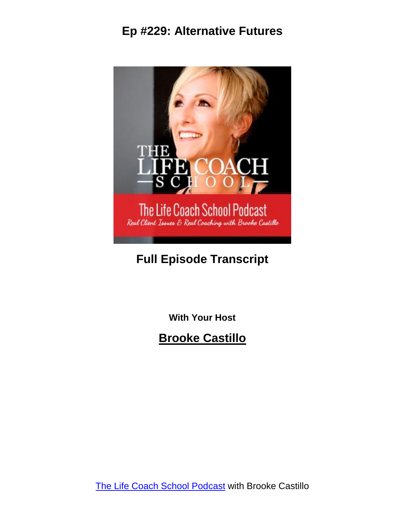

# **Full Episode Transcript**

**With Your Host**

**Brooke Castillo**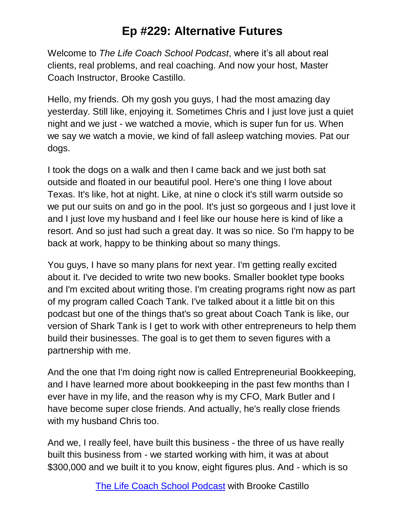Welcome to *The Life Coach School Podcast*, where it's all about real clients, real problems, and real coaching. And now your host, Master Coach Instructor, Brooke Castillo.

Hello, my friends. Oh my gosh you guys, I had the most amazing day yesterday. Still like, enjoying it. Sometimes Chris and I just love just a quiet night and we just - we watched a movie, which is super fun for us. When we say we watch a movie, we kind of fall asleep watching movies. Pat our dogs.

I took the dogs on a walk and then I came back and we just both sat outside and floated in our beautiful pool. Here's one thing I love about Texas. It's like, hot at night. Like, at nine o clock it's still warm outside so we put our suits on and go in the pool. It's just so gorgeous and I just love it and I just love my husband and I feel like our house here is kind of like a resort. And so just had such a great day. It was so nice. So I'm happy to be back at work, happy to be thinking about so many things.

You guys, I have so many plans for next year. I'm getting really excited about it. I've decided to write two new books. Smaller booklet type books and I'm excited about writing those. I'm creating programs right now as part of my program called Coach Tank. I've talked about it a little bit on this podcast but one of the things that's so great about Coach Tank is like, our version of Shark Tank is I get to work with other entrepreneurs to help them build their businesses. The goal is to get them to seven figures with a partnership with me.

And the one that I'm doing right now is called Entrepreneurial Bookkeeping, and I have learned more about bookkeeping in the past few months than I ever have in my life, and the reason why is my CFO, Mark Butler and I have become super close friends. And actually, he's really close friends with my husband Chris too.

And we, I really feel, have built this business - the three of us have really built this business from - we started working with him, it was at about \$300,000 and we built it to you know, eight figures plus. And - which is so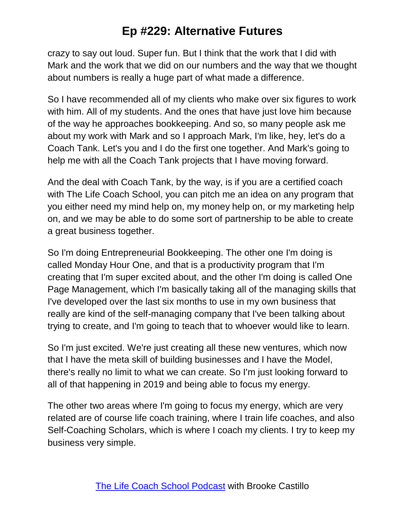crazy to say out loud. Super fun. But I think that the work that I did with Mark and the work that we did on our numbers and the way that we thought about numbers is really a huge part of what made a difference.

So I have recommended all of my clients who make over six figures to work with him. All of my students. And the ones that have just love him because of the way he approaches bookkeeping. And so, so many people ask me about my work with Mark and so I approach Mark, I'm like, hey, let's do a Coach Tank. Let's you and I do the first one together. And Mark's going to help me with all the Coach Tank projects that I have moving forward.

And the deal with Coach Tank, by the way, is if you are a certified coach with The Life Coach School, you can pitch me an idea on any program that you either need my mind help on, my money help on, or my marketing help on, and we may be able to do some sort of partnership to be able to create a great business together.

So I'm doing Entrepreneurial Bookkeeping. The other one I'm doing is called Monday Hour One, and that is a productivity program that I'm creating that I'm super excited about, and the other I'm doing is called One Page Management, which I'm basically taking all of the managing skills that I've developed over the last six months to use in my own business that really are kind of the self-managing company that I've been talking about trying to create, and I'm going to teach that to whoever would like to learn.

So I'm just excited. We're just creating all these new ventures, which now that I have the meta skill of building businesses and I have the Model, there's really no limit to what we can create. So I'm just looking forward to all of that happening in 2019 and being able to focus my energy.

The other two areas where I'm going to focus my energy, which are very related are of course life coach training, where I train life coaches, and also Self-Coaching Scholars, which is where I coach my clients. I try to keep my business very simple.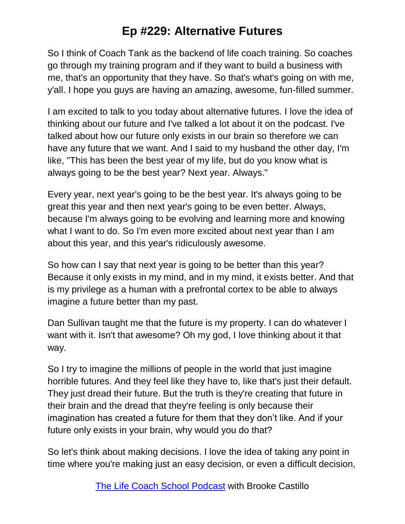So I think of Coach Tank as the backend of life coach training. So coaches go through my training program and if they want to build a business with me, that's an opportunity that they have. So that's what's going on with me, y'all. I hope you guys are having an amazing, awesome, fun-filled summer.

I am excited to talk to you today about alternative futures. I love the idea of thinking about our future and I've talked a lot about it on the podcast. I've talked about how our future only exists in our brain so therefore we can have any future that we want. And I said to my husband the other day, I'm like, "This has been the best year of my life, but do you know what is always going to be the best year? Next year. Always."

Every year, next year's going to be the best year. It's always going to be great this year and then next year's going to be even better. Always, because I'm always going to be evolving and learning more and knowing what I want to do. So I'm even more excited about next year than I am about this year, and this year's ridiculously awesome.

So how can I say that next year is going to be better than this year? Because it only exists in my mind, and in my mind, it exists better. And that is my privilege as a human with a prefrontal cortex to be able to always imagine a future better than my past.

Dan Sullivan taught me that the future is my property. I can do whatever I want with it. Isn't that awesome? Oh my god, I love thinking about it that way.

So I try to imagine the millions of people in the world that just imagine horrible futures. And they feel like they have to, like that's just their default. They just dread their future. But the truth is they're creating that future in their brain and the dread that they're feeling is only because their imagination has created a future for them that they don't like. And if your future only exists in your brain, why would you do that?

So let's think about making decisions. I love the idea of taking any point in time where you're making just an easy decision, or even a difficult decision,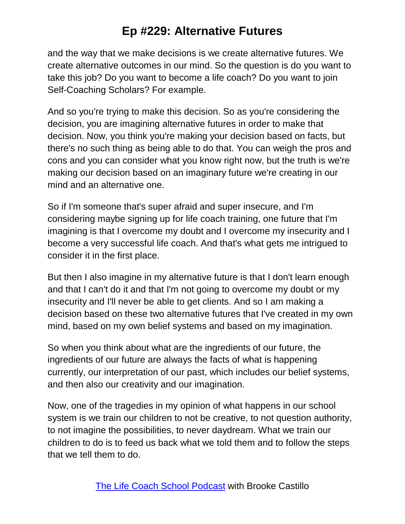and the way that we make decisions is we create alternative futures. We create alternative outcomes in our mind. So the question is do you want to take this job? Do you want to become a life coach? Do you want to join Self-Coaching Scholars? For example.

And so you're trying to make this decision. So as you're considering the decision, you are imagining alternative futures in order to make that decision. Now, you think you're making your decision based on facts, but there's no such thing as being able to do that. You can weigh the pros and cons and you can consider what you know right now, but the truth is we're making our decision based on an imaginary future we're creating in our mind and an alternative one.

So if I'm someone that's super afraid and super insecure, and I'm considering maybe signing up for life coach training, one future that I'm imagining is that I overcome my doubt and I overcome my insecurity and I become a very successful life coach. And that's what gets me intrigued to consider it in the first place.

But then I also imagine in my alternative future is that I don't learn enough and that I can't do it and that I'm not going to overcome my doubt or my insecurity and I'll never be able to get clients. And so I am making a decision based on these two alternative futures that I've created in my own mind, based on my own belief systems and based on my imagination.

So when you think about what are the ingredients of our future, the ingredients of our future are always the facts of what is happening currently, our interpretation of our past, which includes our belief systems, and then also our creativity and our imagination.

Now, one of the tragedies in my opinion of what happens in our school system is we train our children to not be creative, to not question authority, to not imagine the possibilities, to never daydream. What we train our children to do is to feed us back what we told them and to follow the steps that we tell them to do.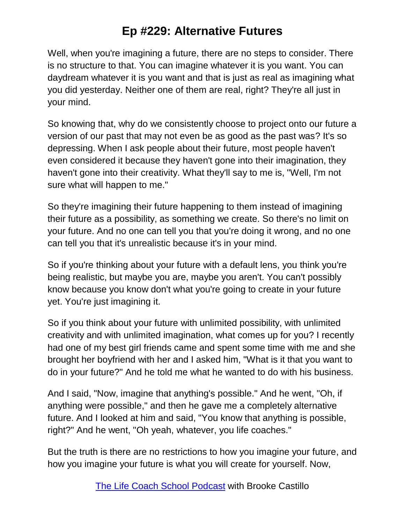Well, when you're imagining a future, there are no steps to consider. There is no structure to that. You can imagine whatever it is you want. You can daydream whatever it is you want and that is just as real as imagining what you did yesterday. Neither one of them are real, right? They're all just in your mind.

So knowing that, why do we consistently choose to project onto our future a version of our past that may not even be as good as the past was? It's so depressing. When I ask people about their future, most people haven't even considered it because they haven't gone into their imagination, they haven't gone into their creativity. What they'll say to me is, "Well, I'm not sure what will happen to me."

So they're imagining their future happening to them instead of imagining their future as a possibility, as something we create. So there's no limit on your future. And no one can tell you that you're doing it wrong, and no one can tell you that it's unrealistic because it's in your mind.

So if you're thinking about your future with a default lens, you think you're being realistic, but maybe you are, maybe you aren't. You can't possibly know because you know don't what you're going to create in your future yet. You're just imagining it.

So if you think about your future with unlimited possibility, with unlimited creativity and with unlimited imagination, what comes up for you? I recently had one of my best girl friends came and spent some time with me and she brought her boyfriend with her and I asked him, "What is it that you want to do in your future?" And he told me what he wanted to do with his business.

And I said, "Now, imagine that anything's possible." And he went, "Oh, if anything were possible," and then he gave me a completely alternative future. And I looked at him and said, "You know that anything is possible, right?" And he went, "Oh yeah, whatever, you life coaches."

But the truth is there are no restrictions to how you imagine your future, and how you imagine your future is what you will create for yourself. Now,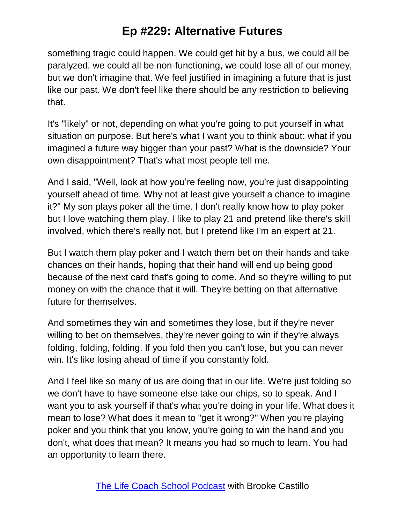something tragic could happen. We could get hit by a bus, we could all be paralyzed, we could all be non-functioning, we could lose all of our money, but we don't imagine that. We feel justified in imagining a future that is just like our past. We don't feel like there should be any restriction to believing that.

It's "likely" or not, depending on what you're going to put yourself in what situation on purpose. But here's what I want you to think about: what if you imagined a future way bigger than your past? What is the downside? Your own disappointment? That's what most people tell me.

And I said, "Well, look at how you're feeling now, you're just disappointing yourself ahead of time. Why not at least give yourself a chance to imagine it?" My son plays poker all the time. I don't really know how to play poker but I love watching them play. I like to play 21 and pretend like there's skill involved, which there's really not, but I pretend like I'm an expert at 21.

But I watch them play poker and I watch them bet on their hands and take chances on their hands, hoping that their hand will end up being good because of the next card that's going to come. And so they're willing to put money on with the chance that it will. They're betting on that alternative future for themselves.

And sometimes they win and sometimes they lose, but if they're never willing to bet on themselves, they're never going to win if they're always folding, folding, folding. If you fold then you can't lose, but you can never win. It's like losing ahead of time if you constantly fold.

And I feel like so many of us are doing that in our life. We're just folding so we don't have to have someone else take our chips, so to speak. And I want you to ask yourself if that's what you're doing in your life. What does it mean to lose? What does it mean to "get it wrong?" When you're playing poker and you think that you know, you're going to win the hand and you don't, what does that mean? It means you had so much to learn. You had an opportunity to learn there.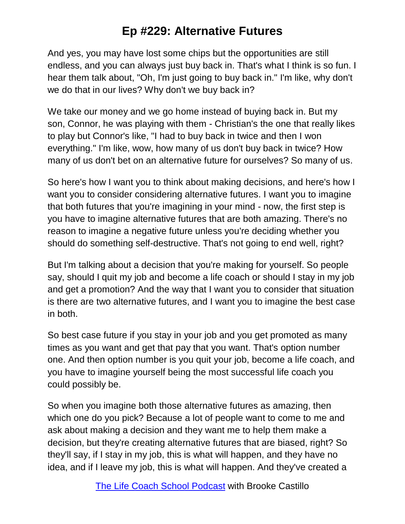And yes, you may have lost some chips but the opportunities are still endless, and you can always just buy back in. That's what I think is so fun. I hear them talk about, "Oh, I'm just going to buy back in." I'm like, why don't we do that in our lives? Why don't we buy back in?

We take our money and we go home instead of buying back in. But my son, Connor, he was playing with them - Christian's the one that really likes to play but Connor's like, "I had to buy back in twice and then I won everything." I'm like, wow, how many of us don't buy back in twice? How many of us don't bet on an alternative future for ourselves? So many of us.

So here's how I want you to think about making decisions, and here's how I want you to consider considering alternative futures. I want you to imagine that both futures that you're imagining in your mind - now, the first step is you have to imagine alternative futures that are both amazing. There's no reason to imagine a negative future unless you're deciding whether you should do something self-destructive. That's not going to end well, right?

But I'm talking about a decision that you're making for yourself. So people say, should I quit my job and become a life coach or should I stay in my job and get a promotion? And the way that I want you to consider that situation is there are two alternative futures, and I want you to imagine the best case in both.

So best case future if you stay in your job and you get promoted as many times as you want and get that pay that you want. That's option number one. And then option number is you quit your job, become a life coach, and you have to imagine yourself being the most successful life coach you could possibly be.

So when you imagine both those alternative futures as amazing, then which one do you pick? Because a lot of people want to come to me and ask about making a decision and they want me to help them make a decision, but they're creating alternative futures that are biased, right? So they'll say, if I stay in my job, this is what will happen, and they have no idea, and if I leave my job, this is what will happen. And they've created a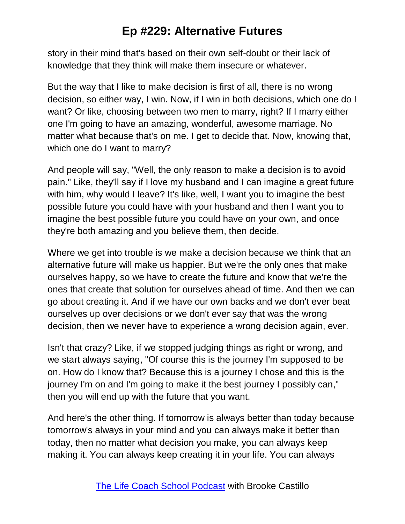story in their mind that's based on their own self-doubt or their lack of knowledge that they think will make them insecure or whatever.

But the way that I like to make decision is first of all, there is no wrong decision, so either way, I win. Now, if I win in both decisions, which one do I want? Or like, choosing between two men to marry, right? If I marry either one I'm going to have an amazing, wonderful, awesome marriage. No matter what because that's on me. I get to decide that. Now, knowing that, which one do I want to marry?

And people will say, "Well, the only reason to make a decision is to avoid pain." Like, they'll say if I love my husband and I can imagine a great future with him, why would I leave? It's like, well, I want you to imagine the best possible future you could have with your husband and then I want you to imagine the best possible future you could have on your own, and once they're both amazing and you believe them, then decide.

Where we get into trouble is we make a decision because we think that an alternative future will make us happier. But we're the only ones that make ourselves happy, so we have to create the future and know that we're the ones that create that solution for ourselves ahead of time. And then we can go about creating it. And if we have our own backs and we don't ever beat ourselves up over decisions or we don't ever say that was the wrong decision, then we never have to experience a wrong decision again, ever.

Isn't that crazy? Like, if we stopped judging things as right or wrong, and we start always saying, "Of course this is the journey I'm supposed to be on. How do I know that? Because this is a journey I chose and this is the journey I'm on and I'm going to make it the best journey I possibly can," then you will end up with the future that you want.

And here's the other thing. If tomorrow is always better than today because tomorrow's always in your mind and you can always make it better than today, then no matter what decision you make, you can always keep making it. You can always keep creating it in your life. You can always